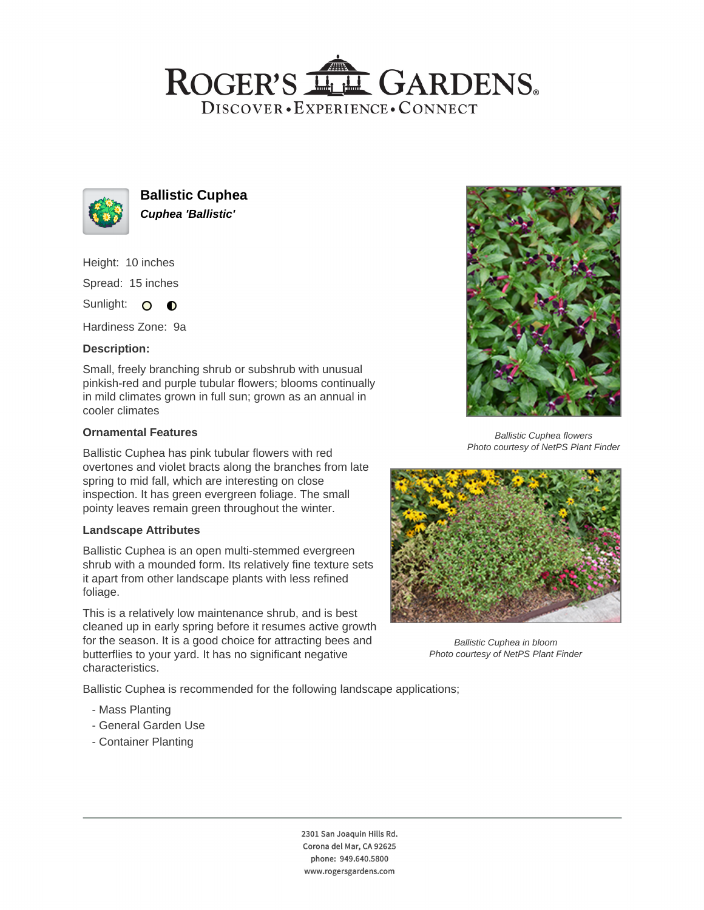## ROGER'S LL GARDENS. DISCOVER · EXPERIENCE · CONNECT



**Ballistic Cuphea Cuphea 'Ballistic'**

Height: 10 inches Spread: 15 inches

Sunlight: O **O** 

Hardiness Zone: 9a

### **Description:**

Small, freely branching shrub or subshrub with unusual pinkish-red and purple tubular flowers; blooms continually in mild climates grown in full sun; grown as an annual in cooler climates

#### **Ornamental Features**

Ballistic Cuphea has pink tubular flowers with red overtones and violet bracts along the branches from late spring to mid fall, which are interesting on close inspection. It has green evergreen foliage. The small pointy leaves remain green throughout the winter.

#### **Landscape Attributes**

Ballistic Cuphea is an open multi-stemmed evergreen shrub with a mounded form. Its relatively fine texture sets it apart from other landscape plants with less refined foliage.

This is a relatively low maintenance shrub, and is best cleaned up in early spring before it resumes active growth for the season. It is a good choice for attracting bees and butterflies to your yard. It has no significant negative characteristics.

Ballistic Cuphea is recommended for the following landscape applications;

- Mass Planting
- General Garden Use
- Container Planting



Ballistic Cuphea flowers Photo courtesy of NetPS Plant Finder



Ballistic Cuphea in bloom Photo courtesy of NetPS Plant Finder

2301 San Joaquin Hills Rd. Corona del Mar, CA 92625 phone: 949.640.5800 www.rogersgardens.com